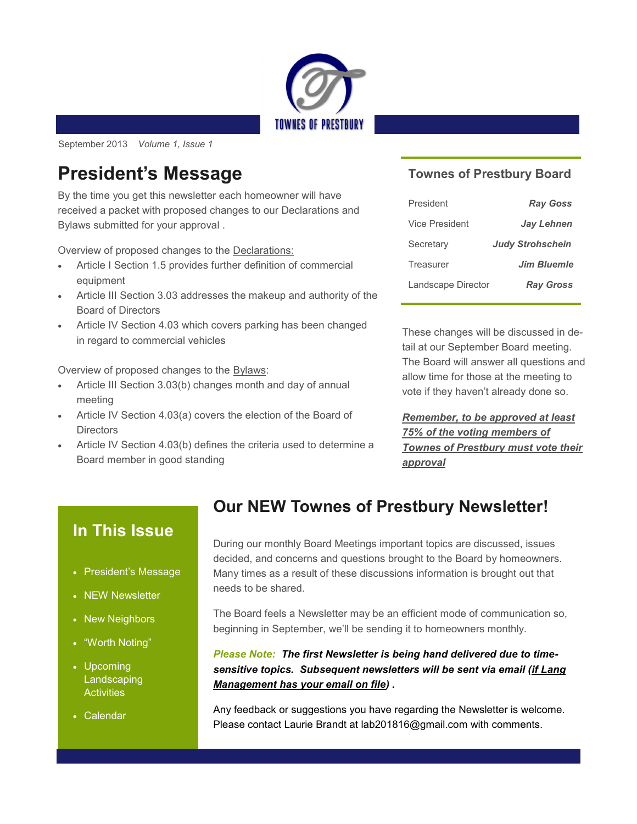

September 2013 *Volume 1, Issue 1* 

## **President's Message**

By the time you get this newsletter each homeowner will have received a packet with proposed changes to our Declarations and Bylaws submitted for your approval .

Overview of proposed changes to the Declarations:

- Article I Section 1.5 provides further definition of commercial equipment
- Article III Section 3.03 addresses the makeup and authority of the Board of Directors
- Article IV Section 4.03 which covers parking has been changed in regard to commercial vehicles

Overview of proposed changes to the Bylaws:

- Article III Section 3.03(b) changes month and day of annual meeting
- Article IV Section 4.03(a) covers the election of the Board of **Directors**
- Article IV Section 4.03(b) defines the criteria used to determine a Board member in good standing

#### **Townes of Prestbury Board**

| President          | <b>Ray Goss</b>         |
|--------------------|-------------------------|
| Vice President     | <b>Jay Lehnen</b>       |
| Secretary          | <b>Judy Strohschein</b> |
| Treasurer          | <b>Jim Bluemle</b>      |
| Landscape Director | <b>Ray Gross</b>        |

These changes will be discussed in detail at our September Board meeting. The Board will answer all questions and allow time for those at the meeting to vote if they haven't already done so.

*Remember, to be approved at least 75% of the voting members of Townes of Prestbury must vote their approval*

### **In This Issue**

- President's Message
- NEW Newsletter
- New Neighbors
- "Worth Noting"
- Upcoming Landscaping **Activities**
- Calendar

### **Our NEW Townes of Prestbury Newsletter!**

During our monthly Board Meetings important topics are discussed, issues decided, and concerns and questions brought to the Board by homeowners. Many times as a result of these discussions information is brought out that needs to be shared.

The Board feels a Newsletter may be an efficient mode of communication so, beginning in September, we'll be sending it to homeowners monthly.

*Please Note: The first Newsletter is being hand delivered due to timesensitive topics. Subsequent newsletters will be sent via email (if Lang Management has your email on file) .*

Any feedback or suggestions you have regarding the Newsletter is welcome. Please contact Laurie Brandt at lab201816@gmail.com with comments.